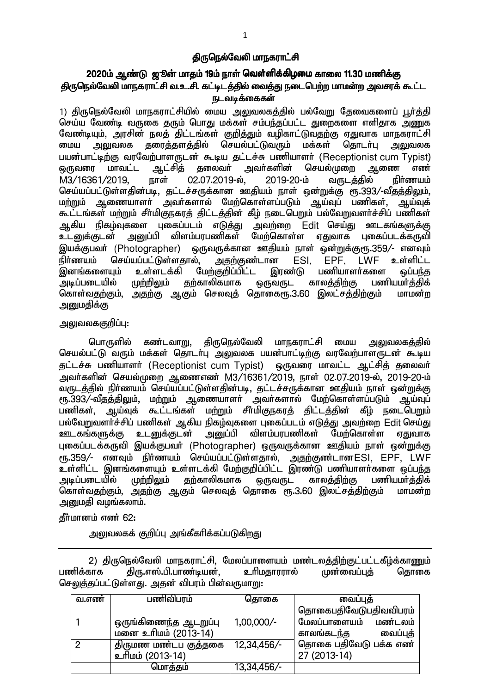### கிருநெல்வேலி மாநகராட்சி

## 2020ம் ஆண்டு ஜூன் மாதம் 19ம் நாள் வெள்ளிக்கிழமை காலை 11.30 மணிக்கு <u>திருநெ</u>ல்வேலி மாநகராட்சி வ.உ.சி. கட்டிடத்தில் வைத்து நடைபெற்ற மாமன்ற அவசரக் கூட்ட ௩டவடீக்கைகள்

1) திருநெல்வேலி மாநகராட்சியில் மைய அலுவலகத்தில் பல்வேறு தேவைகளைப் பூர்த்தி செய்ய வேண்டி வருகை தரும் பொது மக்கள் சம்பந்தப்பட்ட துறைகளை எளிதாக அணுக வேண்டியும், அரசின் நலத் திட்டங்கள் குறித்தும் வழிகாட்டுவதற்கு ஏதுவாக மாநகராட்சி<br>மைய அலுவலக தரைத்தளத்தில் செயல்பட்டுவரும் மக்கள் தொடா்பு அலுவலக மைய அலுவலக தரைத்தளத்தில் செயல்பட்டுவரும் மக்கள் தொடர்பு <u>அலு</u>வலக பயன்பாட்டிற்கு வரவேற்பாளருடன் கூடிய தட்டச்சு பணியாளர் (Receptionist cum Typist)<br>ஒருவரை மாவட்ட ஆட்சித் தலைவர் அவர்களின் செயல்முறை ஆணை எண் டைநவரை மாவட்ட ஆட்சிக் கலைவர் அவர்களின் செயல்முறை ஆணை எண் M3/16361/2019, நாள் 02.07.2019-ல், 2019-20-ம் வருடத்தில் நிர்ணயம் செய்யப்பட்டுள்ளதின்படி, தட்டச்சருக்கான ஊதியம் நாள் ஒன்றுக்கு ரூ.393/-வீதத்திலும், மற்றும் ஆணையாளா் அவா்களால் மேற்கொள்ளப்படும் ஆய்வுப் பணிகள், ஆய்வுக் கூட்டங்கள் மற்றும் சீர்மிகுநகரத் திட்டத்தின் கீழ் நடைபெறும் பல்வேறுவளர்ச்சிப் பணிகள் ஆகிய நிகழ்வுகளை புகைப்படம் எடுத்து அவற்றை Edit செய்து ஊடகங்களுக்கு உடனுக்குடன் அனுப்பி விளம்பரபணிகள் மேற்கொள்ள ஏதுவாக புகைப்படக்கருவி இயக்குபவர் (Photographer) ஒருவருக்கான ஊதியம் நாள் ஒன்றுக்குளு.359/- எனவும் நிர்ணயம் செய்யப்பட்டுள்ளதால், அதற்குண்டான ESI, EPF, LWF உள்ளிட்ட இனங்களையும் உள்ளடக்கி மேற்குறிப்பிட்ட இரண்டு பணியாளா்களை ஒப்பந்த<br>அடிப்படையில் முற்றிலும் தற்காலிகமாக ஒருவருட காலத்திற்கு பணியமா்க்கிக் முற்றிலும் தற்காலிகமாக ஒருவருட காலத்திற்கு பணியமா்த்திக் கொள்வதற்கும், அதற்கு ஆகும் செலவுத் தொகைரூ.3.60 இலட்சத்திற்கும் மாமன்ற அனுமதிக்கு

#### <u>அலுவலககுறிப்பு:</u>

பொருளில் கண்டவாறு, திருநெல்வேலி மாநகராட்சி மைய அலுவலகக்கில் செயல்பட்டு வரும் மக்கள் தொடர்பு அலுவலக பயன்பாட்டிற்கு வரவேற்பாளருடன் கூடிய சுட்டச்சு பணியாளர் (Receptionist cum Typist) ஒருவரை மாவட்ட ஆட்சித் தலைவர் <u>அ</u>வா்களின் செயல்முறை ஆணைஎண் M3/16361/2019. நாள் 02.07.2019-ல், 2019-20-ம் ு.<br>வருடத்தில் நிா்ணயம் செய்யப்பட்டுள்ளதின்படி, தட்டச்சருக்கான ஊதியம் நாள் ஒன்றுக்கு ரு. 393/-வீதத்திலும், மற்றும் ஆணையாளர் அவர்களால் மேற்கொள்ளப்படும் ஆய்வுப் பணிகள், ஆய்வுக் கூட்டங்கள் மற்றும் சீர்மிகுநகரத் திட்டத்தின் கீழ் நடைபெறும் பல்வேறுவளா்ச்சிப் பணிகள் ஆகிய நிகழ்வுகளை புகைப்படம் எடுத்து அவற்றை Edit செய்து<br>ஊடகங்களுக்கு உடனுக்குடன் அனுப்பி விளம்பரபணிகள் மேற்கொள்ள ஏதுவாக அனுப்பி விளம்பரபணிகள் மேற்கொள்ள <u>ஏ</u>துவாக புகைப்படக்கருவி இயக்குபவர் (Photographer) ஒருவருக்கான ஊதியம் நாள் ஒன்றுக்கு ரூ.359/- எனவும் நிா்ணயம் செய்யப்பட்டுள்ளதால், <u>அதற்கு</u>ண்டானESI, EPF, LWF உள்ளிட்ட இனங்களையும் உள்ளடக்கி மேற்குறிப்பிட்ட இரண்டு பணியாளர்களை ஒப்பந்த அடிப்படையில் முற்றிலும் தற்காலிகமாக ஒருவருட காலத்திற்கு பணியமா்த்திக்<br>கொள்வதற்கும் அதற்கு ஆகும் செலவுக் தொகை ரூ.3.60 இலட்சக்திற்கும் மாமன்ற கொள்வதற்கும், அதற்கு ஆகும் செலவுத் தொகை ரூ.3.60 இலட்சத்திற்கும் அமைகி வமங்கலாம்.

## தீர்மானம் எண் 62:

அலுவலகக் குறிப்பு அங்கீகரிக்கப்படுகிறது

2) திருநெல்வேலி மாநகராட்சி, மேலப்பாளையம் மண்டலத்திற்குட்பட்டகீழ்க்காணும்<br>பணிக்காக கிரு.எஸ்.பி.பாண்டியன். உரிமகாரரால் முன்வைப்புக் கொகை கிரு.எஸ்.பி.பாண்டியன், உரிமகாரரால் முன்வைப்புக் கொகை செலுத்தப்பட்டுள்ளது. அதன் விபரம் பின்வருமாறு:

| வ.எண் | பணிவிபரம்             | தொகை         | வைப்புத்                |
|-------|-----------------------|--------------|-------------------------|
|       |                       |              | தொகைபதிவேடுபதிவவிபரம்   |
|       | ஒருங்கிணைந்த ஆடறுப்பு | $1,00,000/-$ | மேலப்பாளையம்<br>மண்டலம் |
|       | மனை உரிமம் (2013-14)  |              | வைப்புத்<br>காலங்கடந்த  |
| റ     | திருமண மண்டப குத்தகை  | 12,34,456/-  | தொகை பதிவேடு பக்க எண்   |
|       | உரிமம் (2013-14)      |              | 27 (2013-14)            |
|       | மொத்தம்               | 13,34,456/-  |                         |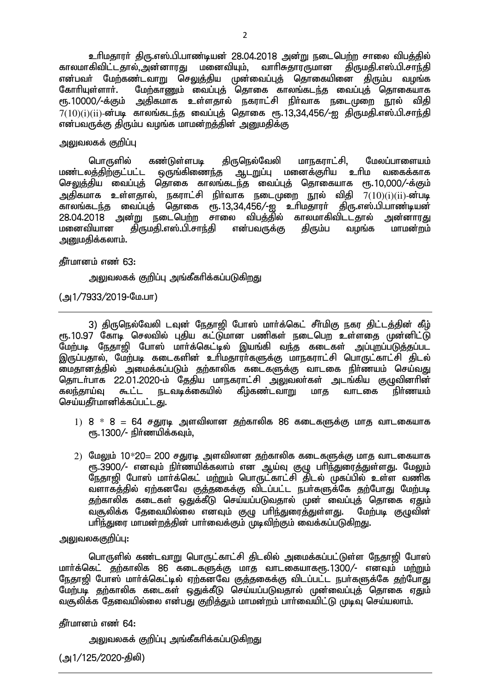உரிமதாரர் திரு.எஸ்.பி.பாண்டியன் 28.04.2018 அன்று நடைபெற்ற சாலை விபத்தில் காலமாகிவிட்டதால்,அன்னாரது மனைவியும், வாரிசுதாரருமான திருமதி.எஸ்.பி.சாந்தி என்பவா் மேற்கண்டவாறு செலுத்திய முன்வைப்புத் தொகையினை திரும்ப வழங்க<br>கோாியள்ளாா். மோ்காணம் வைப்பக் கொகை காலங்கடா்க வைப்புக் தொகையாக மேற்காணும் வைப்புத் தொகை காலங்கடந்த வைப்புத் தொகையாக ரூ.10000/-க்கும் அதிகமாக உள்ளதால் நகராட்சி நிர்வாக நடைமுறை நூல் விதி  $7(10)(i)$ ( $ii$ )-ன்படி காலங்கடந்த வைப்புத் தொகை ரூ.13,34,456/-ஐ திருமதி.எஸ்.பி.சாந்தி என்பவருக்கு கிரும்ப வமங்க மாமன்றக்கின் அறையகிக்கு

#### அலுவலகக் குறிப<u>்</u>பு

பொருளில் கண்டுள்ளபடி திருநெல்வேலி மாநகராட்சி, மேலப்பாளையம்<br>லத்திற்குட்பட்ட ஒருங்கிணைந்த ஆடறுப்பு மனைக்குரிய உரிம வகைக்காக <u>மண்டலத்திற்குட்பட்ட ஒருங்கிணைந்த ஆடறு</u>ப்பு மனைக்குரிய உரிம வகைக்காக செலுத்திய வைப்புத் தொகை காலங்கடந்த வைப்புத் தொகையாக ரூ.10,000/-க்கும் அதிகமாக உள்ளதால், நகராட்சி நிர்வாக நடைமுறை நூல் விதி  $7(10)(\mathrm{i})(\mathrm{ii})$ -ன்படி fhyq;fle;j itg;Gj; njhif &.13>34>456/-I chpkjhuh; jpU.v];.gp.ghz;bad; .<br>28.04.2018 அன்று நடைபெற்ற சாலை விபத்தில் காலமாகிவிட்டதால் அன்னாரது<br>மனைவியான கிருமதி.எஸ்.பி.சாந்தி என்பவருக்கு கிரும்ப வமங்க மாமன்றம் கிருமதி.எஸ்.பி.சாந்தி என்பவருக்கு அறுமதிக்கலாம்.

#### தீர்மானம் எண் 63:

<u>அலுவலகக் குறிப்பு அங்கீகரிக்கப்படுகிறது</u>

(அ1/7933/2019-மே.பா)

3) திருநெல்வேலி டவுன் நேதாஜி போஸ் மார்க்கெட் சீர்மிகு நகர திட்டத்தின் கீழ் ரூ.10.97 கோடி செலவில் புதிய கட்டுமான பணிகள் நடைபெற உள்ளதை முன்னிட்டு .<br>மேற்படி நேதாஜி போஸ் மார்க்கெட்டில் இயங்கி வந்த கடைகள் அப்புறப்படுத்தப்பட இருப்பதால், மேற்படி கடைகளின் உரிமதாராகளுக்கு மாநகராட்சி பொருட்காட்சி திடல் ikjhdj;jpy; mikf;fg;gLk; jw;fhypf filfSf;F thlif eph;zak; nra;tJ தொடர்பாக 22.01.2020-ம் தேதிய மாநகராட்சி அலுவலர்கள் அடங்கிய குழுவினரின் கலந்தாய்வு கூட்ட நடவடிக்கையில் கீழ்கண்டவாறு மாத வாடகை நிர்ணயம் செய்யகீர்மானிக்கப்பட்டது.

- 1)  $8 * 8 = 64$  சதுரடி அளவிலான தற்காலிக 86 கடைகளுக்கு மாத வாடகையாக  $\epsilon$ ரு. 1300/- நிர்ணயிக்கவும்.
- $2)$  மேலும் 10\*20= 200 சதுரடி அளவிலான தற்காலிக கடைகளுக்கு மாத வாடகையாக ரூ.3900/- எனவும் நிா்ணயிக்கலாம் என ஆய்வு குழு பாிந்துரைத்துள்ளது. மேலும் நேதாஜி போஸ் மார்க்கெட் மற்றும் பொருட்காட்சி திடல் முகப்பில் உள்ள வணிக ்கிச் க<br>நிருந்திர்; ஏற்கனவே குத்தகைக்கு விடப்பட்ட நபா்களுக்கே தற்போது மேற்படி தற்காலிக கடைகள் ஒதுக்கீடு செய்யப்படுவதால் முன் வைப்புத் தொகை ஏதும்<br>வசூலிக்க கேவையில்லை எனவும் குழு பாிந்துரைத்துள்ளது. மேற்படி குழுவின் வசூலிக்க தேவையில்லை எனவும் குழு பரி<u>ந்து</u>ரைத்துள்ளது. பாிந்துரை மாமன்றத்தின் பார்வைக்கும் முடிவிற்கும் வைக்கப்படுகிறது.

# அலுவலககுறிப்பு**:**

பொருளில் கண்டவாறு பொருட்காட்சி திடலில் அமைக்கப்பட்டுள்ள நேதாஜி போஸ் மார்க்கெட் தற்காலிக 86 கடைகளுக்கு மாத வாடகையாகரு.1300/- எனவும் மற்றும் நேதாஜி போஸ் மார்க்கெட்டில் ஏற்கனவே குத்தகைக்கு விடப்பட்ட நபர்களுக்கே தற்போது .<br>மேற்படி கற்காலிக கடைகள் கைக்கீடு செய்யப்படுவகால் முன்வைப்பக் கொகை எகும் வசூலிக்க கேவையில்லை என்பகு குறிக்கும் மாமன்றம் பார்வையிட்டு முடிவ செய்யலாம்.

#### கீர்மானம் எண் $64:$

அலுவலகக் குறிப்பு அங்கீகரிக்கப்படுக<u>ிறது</u>

(அ1/125/2020-திலி)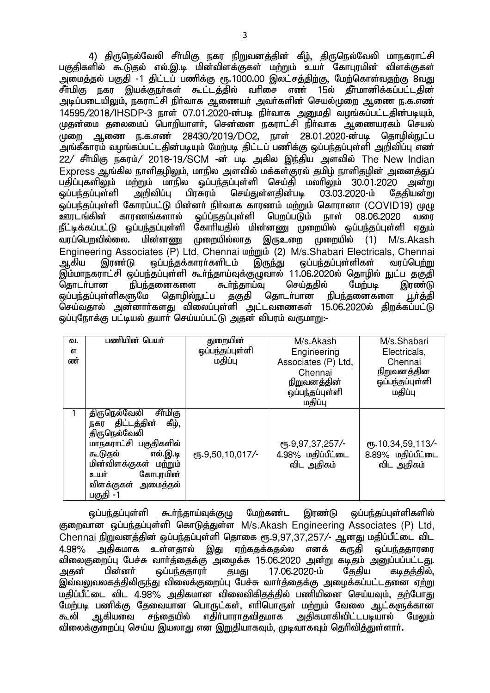4) திருநெல்வேலி சீர்மிகு நகர நிறுவனத்தின் கீழ், திருநெல்வேலி மாநகராட்சி பகுதிகளில் கூடுதல் எல்.இ.டி மின்விளக்குகள் மற்றும் உயர் கோபுரமின் விளக்குகள் ்.<br>அமைத்தல் பகுதி -1 திட்டப் பணிக்கு ரூ.1000.00 இலட்சத்திற்கு, மேற்கொள்வகற்கு 8வது .<br>சீர்மிகு நகர இயக்குநர்கள் கூட்டத்தில் வரிசை எண் 15ல் கீர்மானிக்கப்பட்டகின் அடிப்படையிலும், நகராட்சி நிா்வாக ஆணையா் அவா்களின் செயல்முறை ஆணை ந.க.எண் 14595/2018/IHSDP-3 நாள் 07.01.2020-ன்படி நிர்வாக அறையதி வழங்கப்பட்டதின்படியும். முதன்மை தலைமைப் பொறியாளர். சென்னை நகராட்சி நிர்வாக ஆணையரகம் செயல் ்.<br>முறை ஆணை ந.க.எண் 28430/2019/DO2, நாள் 28.01.2020-ன்படி தொழில்நுட்ப அங்கீகாரம் வழங்கப்பட்டதின்படியும் மேற்படி திட்டப் பணிக்கு ஒப்பந்தப்புள்ளி அறிவிப்பு எண்  $22/$  சீர்மிகு நகரம்/ 2018-19/SCM -ன் படி அகில இந்திய அளவில் The New Indian  $\mathsf E$ xpress ஆங்கில நாளிகமிலும். மாநில அளவில் மக்கள்குரல் குமிழ் நாளிகுமின் அனைக்குப் பதிப்புகளிலும் மற்றும் மாநில ஒப்பந்தப்புள்ளி செய்தி மலாிலும் 30.01.2020 அன்று<br>ஒப்பந்தப்புள்ளி அறிவிப்பு பிரசுரம் செய்துள்ளகின்படி 03.03.2020-ம் சேகியன்m <u>ஒப்பந்தப்பு</u>ள்ளி அறிவிப்பு பிரசுரம் செய்துள்ளதின்படி 03.03.2020-ம் தேதியன்று .<br>ஒப்பந்தப்புள்ளி கோரப்பட்டு பின்னா் நிா்வாக காரணம் மற்றும் கொரானா (COVID19) முழு<br>ஊரடங்கின் காரணங்களால் ஒப்ப்நதப்புள்ளி பெறப்படும் நாள் 08.06.2020 வரை பெறப்படும் நாள் 08.06.2020 வரை நீட்டிக்கப்பட்டு ஒப்பந்தப்புள்ளி கோரியதில் மின்னணு முறையில் ஒப்பந்தப்புள்ளி ஏதும் வரப்பொவில்லை. மின்னணு முறையில்லாக இருஉறை முறையில் (1) M/s.Akash Engineering Associates (P) Ltd, Chennai மற்றும் (2) M/s.Shabari Electricals, Chennai<br>ஆகிய இரண்டு ஒப்பந்தக்காரர்களிடம் இருந்து ஒப்பந்தப்புள்ளிகள் வரப்பெற்று லப்பந்தக்காரா்களிடம் இம்மாநகராட்சி ஒப்பந்தப்புள்ளி கூா்ந்தாய்வுக்குழுவால் 11.06.2020ல் தொழில் நுட்ப தகுதி<br>தொடா்பான நிபந்தனைகளை கூா்ந்தாய்வு செய்ததில் மேற்படி இரண்டு ்நிபந்தனைகளை கூர்ந்தாய்வு செய்ததில் மேற்படி இரண்டு<br>ளுமே தொழில்நுட்ப தகுதி தொடர்பான நிபந்தனைகளை பா்க்கி லப்பந்தப்பள்ளிகளுமே .<br>செய்வதால் அன்னார்களது விலைப்புள்ளி அட்டவணைகள் 15.06.2020ல் திறக்கப்பட்டு <u>ஒப்புந</u>ோக்கு பட்டியல் தயாா் செய்யப்பட்டு அதன் விபரம் வருமாறு:-

| வ.        | பணியின் பெயர்            | துறையின்                       | M/s.Akash         | M/s.Shabari                              |
|-----------|--------------------------|--------------------------------|-------------------|------------------------------------------|
| <b>бТ</b> |                          | ஒப்பந்தப்புள்ளி                | Engineering       | Electricals,                             |
| ண்        |                          | மதிப்பு<br>Associates (P) Ltd, |                   | Chennai                                  |
|           |                          |                                | Chennai           | நிறுவனத்தின                              |
|           |                          |                                | நிறுவனத்தின்      | ஒப்பந்தப்புள்ளி                          |
|           |                          |                                | ஒப்பந்தப்புள்ளி   | மதிப்பு                                  |
|           |                          |                                | மதிப்பு           |                                          |
|           | சீர்மிகு<br>திருநெல்வேலி |                                |                   |                                          |
|           | கீழ்,<br>நகர திட்டத்தின் |                                |                   |                                          |
|           | திருநெல்வேலி             |                                |                   |                                          |
|           | மாநகராட்சி பகுதிகளில்    |                                | ரு.9,97,37,257/-  | $\epsilon$ <sup>0</sup> 5.10,34,59,113/- |
|           | எல்.இ.டி<br>கூடுதல்      | СПБ. 9, 50, 10, 017/-          | 4.98% மதிப்பீட்டை | 8.89% மதிப்பீட்டை                        |
|           | மின்விளக்குகள் மற்றும்   |                                | விட அதிகம்        | விட அதிகம்                               |
|           | கோபுரமின்<br>உயர்        |                                |                   |                                          |
|           | விளக்குகள் அமைத்தல்      |                                |                   |                                          |
|           | பகுதி -1                 |                                |                   |                                          |

<u>ஒப்பந்த</u>ப்புள்ளி கூர்ந்தாய்வுக்கு<sub>(</sub>ழ மேற்கண்ட இரண்டு ஒப்பந்தப்புள்ளிகளில் குறைவான ஒப்பந்தப்புள்ளி கொடுத்துள்ள M/s.Akash Engineering Associates (P) Ltd,  $Chen$ nai நிறுவனத்தின் ஒப்பந்தப்புள்ளி தொகை ரூ.9,97,37,257/- ஆனது மதிப்பீட்டை விட 4.98% அதிகமாக உள்ளதால் இது ஏற்கதக்கதல்ல எனக் கருதி ஒப்பந்ததாரரை விலைகுறைப்பு பேச்சு வாா்த்தைக்கு அழைக்க 15.06.2020 அன்று கடிதம் அனுப்பப்பட்டது.<br>அதன் பின்னா் ஒப்பந்ததாரா் தமது 17.06.2020-ம் தேதிய கடிதத்தில், அதன் பின்னா் ஒப்பந்ததாரா் தமது 17.06.2020-ம் தேதிய கடிதத்தில், இவ்வலுவலகத்திலிருந்து விலைக்குறைப்பு பேச்சு வார்த்தைக்கு அழைக்கப்பட்டதனை ஏற்று ் மகிப்பீட்டை விட 4.98% அகிகமான விலைவிகிகக்கில் பணியினை செய்யவும், கற்போகு மேற்படி பணிக்கு தேவையான பொருட்கள், எாிபொருள் மற்றும் வேலை ஆட்களுக்கான<br>கூலி ஆகியவை சந்தையில் எகிா்பாராகவிகமாக அகிகமாகிவிட்டபடியால் மேலும் அதிகமாகிவிட்டபடியால் <sup>–</sup> மேலும் .<br>விலைக்குறைப்பு செய்ய இயலாது என இறுதியாகவும், முடிவாகவும் தெரிவித்துள்ளார்.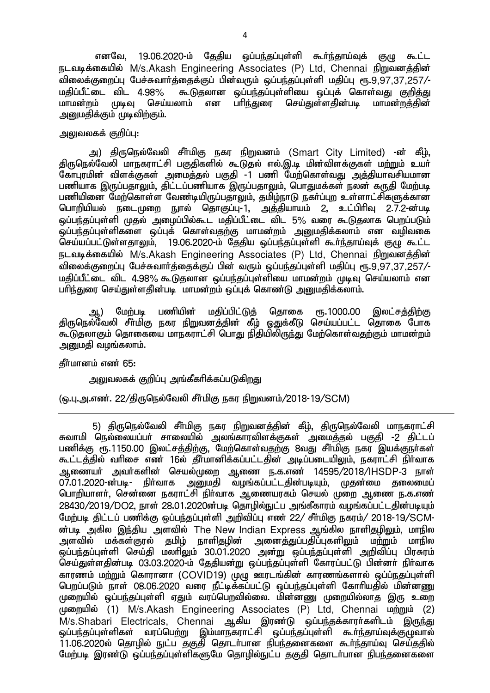எனவே, 19.06.2020-ம் தேதிய ஒப்பந்தப்புள்ளி கூர்ந்தாய்வுக் குழு கூட்ட நடவடிக்கையில் M/s.Akash Engineering Associates (P) Ltd, Chennai நிறுவனத்தின் விலைக்குறைப்பு பேச்சுவாா்த்தைக்குப் பின்வரும் ஒப்பந்தப்புள்ளி மதிப்பு ரூ.9,97,37,257/-<br>மதிப்பீட்டை விட 4.98% கூடுகலான ஒப்பந்தப்புள்ளியை ஒப்புக் கொள்வது குறிக்கு மதிப்பீட்டை விட 4.98% கூடுதலான ஒப்பந்தப்புள்ளியை ஒப்புக் கொள்வது குறித்து<br>மாமன்றம் முடிவு செய்யலாம் என பாிந்துரை செய்துள்ளதின்படி மாமன்றத்தின் செய்துள்ளதின்படி அறுமதிக்கும் முடிவிற்கும்.

## அலுவலகக் குறிப்பு:

அ) திருநெல்வேலி சீா்மிகு நகர நிறுவனம் (Smart City Limited) -ன் கீம். <u>திருநெ</u>ல்வேலி மாநகராட்சி பகுதிகளில் கூடுதல் எல்.இ.டி மின்விளக்குகள் மற்றும் உயர் கோபுரமின் விளக்குகள் அமைத்தல் பகுதி -1 பணி மேற்கொள்வது அத்தியாவசியமான பணியாக இருப்பதாலும், திட்டப்பணியாக இருப்பதாலும், பொதுமக்கள் நலன் கருதி மேற்படி பணியினை மேற்கொள்ள வேண்டியிருப்பதாலும், தமிழ்நாடு நகர்ப்புற உள்ளாட்சிகளுக்கான பொறியியல் நடைமுறை நுால் தொகுப்பு-1, அத்தியாயம் 2, உட்பிரிவு 2.7.2-ன்படி ஒப்பந்தப்புள்ளி முதல் அழைப்பில்கூட மதிப்பீட்டை விட 5% வரை கூடுதலாக பெறப்படும் .<br>ஒப்பந்தப்புள்ளிகளை ஒப்புக் கொள்வதற்கு மாமன்றம் <u>அனு</u>மதிக்கலாம் என வழிவகை செய்யப்பட்டுள்ளதாலும், 19.06.2020-ம் தேதிய ஒப்பந்தப்புள்ளி கூர்ந்தாய்வுக் குழு கூட்ட நடவடிக்கையில் M/s.Akash Engineering Associates (P) Ltd, Chennai நிறுவனத்தின் விலைக்குறைப்பு பேச்சுவார்த்தைக்குப் பின் வரும் ஒப்பந்தப்புள்ளி மதிப்பு ரூ.9,97,37,257/-மகிப்பீட்டை விட 4.98% கூடுகலான ஒப்பந்கப்பள்ளியை மாமன்றம் முடிவு செய்யலாம் என பரிந்துரை செய்துள்ளதின்படி மாமன்றம் ஒப்புக் கொண்டு அனுமதிக்கலாம்.

ஆ) மேற்படி பணியின் மதிப்பிட்டுத் தொகை ரூ.1000.00 இலட்சத்திற்கு திருநெல்வேலி சீர்மிகு நகர நிறுவனத்தின் கீம் ஒதுக்கீடு செய்யப்பட்ட தொகை போக கூடுதலாகும் தொகையை மாநகராட்சி பொது நிதியிலிருந்து மேற்கொள்வதற்கும் மாமன்றம் அனுமதி வழங்கலாம்.

## தீர்மானம் எண் 65:

அலுவலகக் குறிப்பு அங்கீகரிக்கப்படுகிறது

(ஒ.பு.அ.எண். 22/திருநெல்வேலி சீர்மிகு நகர நிறுவனம்/2018-19/SCM)

5) திருநெல்வேலி சீர்மிகு நகர நிறுவனத்தின் கீழ், திருநெல்வேலி மாநகராட்சி சுவாமி நெல்லையப்பர் சாலையில் அலங்காரவிளக்குகள் அமைத்தல் பகுதி -2 திட்டப் பணிக்கு ரூ.1150.00 இலட்சத்திற்கு, மேற்கொள்வதற்கு 8வது சீர்மிகு நகர இயக்குநா்கள் கூட்டத்தில் வரிசை எண் 16ல் தீர்மானிக்கப்பட்டதின் அடிப்படையிலும், நகராட்சி நிர்வாக ஆணையா் அவா்களின் செயல்முறை ஆணை ந.க.எண் 14595/2018/IHSDP-3 நாள்<br>07.01.2020-ன்படி- நிா்வாக அமைகி வமங்கப்பட்டகின்படியம். முகன்மை கலைமைப் ் அனுமதி வழங்கப்பட்டதின்படியும். முதன்மை தலைமைப் பொறியாளர், சென்னை நகராட்சி நிர்வாக ஆணையரகம் செயல் முறை ஆணை ந.க.எண் 28430/2019/DO2, நாள் 28.01.2020ன்படி தொழில்நுட்ப அங்கீகாரம் வழங்கப்பட்டதின்படியும் மேற்படி திட்டப் பணிக்கு ஒப்பந்தப்புள்ளி அறிவிப்பு எண் 22/ சீர்மிகு நகரம்/ 2018-19/SCM-ன்படி அகில இந்திய அளவில் The New Indian Express ஆங்கில நாளிதழிலும், மாநில<br>அளவில் மக்கள்குரல் தமிழ் நாளிதழின் அனைத்துப்பதிப்புகளிலும் மற்றும் மாநில ் பாது, திரைத்துப்பதிப்புகளிலும் ம<u>ற்று</u>ம் மாநில<br>அனைத்துப்பதிப்புகளிலும் ம<u>ற்று</u>ம் மாநில <u>ஒ</u>ப்பந்தப்புள்ளி செய்தி மலாிலும் 30.01.2020 அன்று ஒப்பந்தப்புள்ளி அறிவிப்பு பிரசுரம் .<br>செய்துள்ளதின்படி 03.03.2020-ம் தேதியன்று ஒப்பந்தப்புள்ளி கோரப்பட்டு பின்னா் நிா்வாக காரணம் மற்றும் கொரானா (COVID19) முழு ஊரடங்கின் காரணங்களால் ஒப்ப்நகுப்புள்ளி பெறப்படும் நாள் 08.06.2020 வரை நீட்டிக்கப்பட்டு ஒப்பந்தப்புள்ளி கோரியதில் மின்னணு முறையில் ஒப்பந்தப்புள்ளி ஏதும் வரப்பெறவில்லை. மின்னணு முறையில்லாத இரு உறை முறையில் (1) M/s.Akash Engineering Associates (P) Ltd, Chennai மற்றும் (2) M/s.Shabari Electricals, Chennai ஆகிய இரண்டு ஒப்பந்தக்காரர்களிடம் இருந்து <u>ஒப்பந்த</u>ப்புள்ளிகள் வரப்பெற்று இம்மாநகராட்சி ஒப்பந்தப்புள்ளி கூர்ந்தாய்வுக்குழுவால் 11.06.2020ல் தொழில் நுட்ப தகுதி தொடர்பான நிபந்தனைகளை கூர்ந்தாய்வு செய்ததில் மேற்படி இரண்டு ஒப்பந்தப்புள்ளிகளுமே தொழில்நுட்ப தகுதி தொடர்பான நிபந்தனைகளை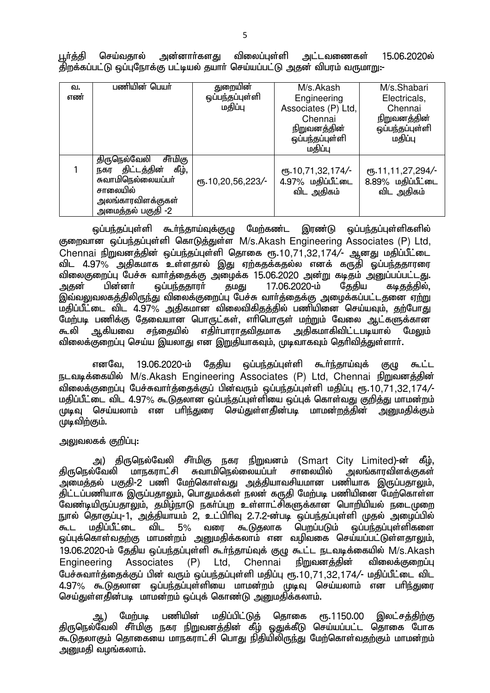|  |  | பூர்த்தி செய்வதால் அன்னார்களது விலைப்புள்ளி அட்டவணைகள் 15.06.2020ல்         |  |
|--|--|-----------------------------------------------------------------------------|--|
|  |  | திறக்கப்பட்டு ஒப்புநோக்கு பட்டியல் தயாா் செய்யப்பட்டு அதன் விபரம் வருமாறு:- |  |

| வ.<br>எண் | பணியின் பெயா்                                                                                                                    | துறையின்<br>ஒப்பந்தப்புள்ளி<br>மதிப்பு | M/s.Akash<br>Engineering<br>Associates (P) Ltd,<br>Chennai<br><u>நிறுவனத்தின்</u><br>ஒப்பந்தப்புள்ளி<br>மதிப்பு | M/s.Shabari<br>Electricals,<br>Chennai<br><u>நிறுவனத்தின்</u><br>ஒப்பந்தப்புள்ளி<br>மதிப்பு |
|-----------|----------------------------------------------------------------------------------------------------------------------------------|----------------------------------------|-----------------------------------------------------------------------------------------------------------------|---------------------------------------------------------------------------------------------|
|           | சீர்மிகு<br>திருநெல்வேலி<br>நகர திட்டத்தின்<br>கீழ்,<br>சுவாமிநெல்லையப்பா்<br>சாலையில்<br>அலங்காரவிளக்குகள்<br>அமைத்தல் பகுதி -2 | ரு.10,20,56,223/-                      | сп. 10, 71, 32, 174/-<br>4.97% மதிப்பீட்டை<br>விட அதிகம்                                                        | ரு.11,11,27,294/-<br>8.89% மதிப்பீட்டை<br>விட அதிகம்                                        |

Ξ ஒப்பந்தப்புள்ளி கூா்ந்தாய்வுக்குழு மேற்கண்ட இரண்டு ஒப்பந்தப்புள்ளிகளில் குறைவான ஒப்பந்தப்புள்ளி கொடுத்துள்ள M/s.Akash Engineering Associates (P) Ltd, Chennai நிறுவனத்தின் ஒப்பந்தப்புள்ளி தொகை ரூ.10,71,32,174/- ஆனது மதிப்பீட்டை விட 4.97% அதிகமாக உள்ளதால் இது ஏற்கதக்கதல்ல எனக் கருதி ஓப்பந்ததாரரை விலைகுறைப்பு பேச்சு வாா்த்தைக்கு அழைக்க 15.06.2020 அன்று கடிதம் அனுப்பப்பட்டது.<br>அகன் பின்னா் வப்பா்குகாரா் கமகு 17.06.2020-ம் கேகிய கடீகக்கில். பின்னா் ஒப்பந்ததாரா் தமது 17.06.2020-ம் தேதிய கடிதத்தில், இவ்வலுவலகத்திலிருந்து விலைக்குறைப்பு பேச்சு வார்த்தைக்கு அழைக்கப்பட்டதனை ஏ<u>ற்று</u> ் மதிப்பீட்டை விட 4.97% அதிகமான விலைவிகிதத்தில் பணியினை செய்யவும், <u>த</u>ற்போது மேற்படி பணிக்கு தேவையான பொருட்கள், எரிபொருள் ம<u>ற்று</u>ம் வேலை ஆட்களுக்கான கூலி ஆகியவை சந்தையில் எதிா்பாராதவிதமாக அதிகமாகிவிட்டபடியால் மேலும் <u>விலைக்குறைப்பு</u> செய்ய இயலாது என இறுதியாகவும், முடிவாகவும் தெரிவித்துள்ளார்.

எனவே, 19.06.2020-ம் தேதிய ஒப்பந்தப்புள்ளி கூர்ந்தாய்வுக் குழு கூட்ட நடவடிக்கையில் M/s.Akash Engineering Associates (P) Ltd, Chennai நிறுவனத்தின் விலைக்குறைப்பு பேச்சுவார்த்தைக்குப் பின்வரும் ஒப்பந்தப்புள்ளி மதிப்பு ரூ.10,71,32,174/-மதிப்பீட்டை விட 4.97% கூடுதலான ஒப்பந்தப்புள்ளியை ஒப்புக் கொள்வது குறித்து மாமன்றம் முடிவு செய்யலாம் என பரிந்துரை செய்துள்ளகின்படி மாமன்றத்தின் அறைமதிக்கும் முடிவிற்கும்.

## அலுவலகக் குறிப்பு:

அ) திருநெல்வேலி சீர்மிகு நகர நிறுவனம் (Smart City Limited)-ன் கீழ். திருநெல்வேலி மாநகராட்சி சுவாமிநெல்லையப்பர் சாலையில் அலங்காரவிளக்குகள் அமைத்தல் பகுதி-2 பணி மேற்கொள்வது அத்தியாவசியமான பணியாக இருப்பதாலும். ்திட்டப்பணியாக இருப்பதாலும், பொதுமக்கள் நலன் கருதி மேற்படி பணியினை மேற்கொள்ள வேண்டியிருப்பதாலும், தமிழ்நாடு நகர்ப்புற உள்ளாட்சிகளுக்கான பொறியியல் நடைமுறை நுால் தொகுப்பு-1, அத்தியாயம் 2, உட்பிரிவு 2.7.2-ன்படி ஒப்பந்தப்புள்ளி முதல் அழைப்பில்<br>கூட மதிப்பீட்டை விட 5% வரை கூடுதலாக பெறப்படும் ஒப்பந்தப்புள்ளிகளை கூட மதிப்பீட்டை விட 5% வரை கூடுதலாக பெறப்படும் ஒப்பர்கப்பள்ளிகளை ஒப்புக்கொள்வதற்கு மாமன்றம் அனுமதிக்கலாம் என வழிவகை செய்யப்பட்டுள்ளதா<u>லு</u>ம். 19.06.2020-ம் தேதிய ஒப்பந்தப்புள்ளி கூர்ந்தாய்வுக் குழு கூட்ட நடவடிக்கையில் M/s.Akash<br>Engineering Associates (P) Ltd. Chennai நிறுவனத்தின் விலைக்குறைப்பு Engineering Associates (P) Ltd, Chennai நிறுவனத்தின் விலைக்குறைப்பு பேச்சுவார்த்தைக்குப் பின் வரும் ஒப்பந்தப்புள்ளி மதிப்பு ரூ.10,71,32,174/- மதிப்பீட்டை விட 4.97% கூடுதலான ஒப்பந்தப்புள்ளியை மாமன்றம் முடிவு செய்யலாம் என பரிந்துரை செய்துள்ளதின்படி மாமன்றம் ஒப்புக் கொண்டு அனுமதிக்கலாம்.

ஆ) மேற்படி பணியின் மதிப்பிட்டுத் தொகை ரூ.1150.00 இலட்சத்திற்கு திருநெல்வேலி சீா்மிகு நகர நிறுவனத்தின் கீழ் ஒதுக்கீடு செய்யப்பட்ட தொகை போக கூடுதலாகும் தொகையை மாநகராட்சி பொது நிதியிலிருந்து மேற்கொள்வதற்கும் மாமன்றம் அனுமதி வழங்கலாம்.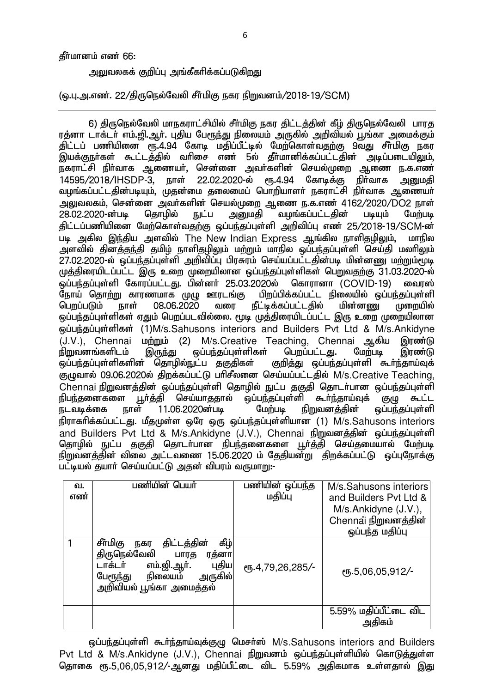#### கீர்மானம் எண் 66:

அலுவலகக் குறிப்பு அங்கீகரிக்கப்படுகிறது

(ஒ.பு.அ.எண். 22/திருநெல்வேலி சீர்மிகு நகர நிறுவனம்/2018-19/SCM)

6) திருநெல்வேலி மாநகராட்சியில் சீர்மிகு நகர திட்டத்தின் கீழ் திருநெல்வேலி பாரத ரத்னா டாக்டர் எம்.ஜி.ஆர். புதிய பேரூந்து நிலையம் அருகில் அறிவியல் பூங்கா அமைக்கும் .<br>கிட்டப் பணியினை ரூ.4.94 கோடி மதிப்பீட்டில் மேற்கொள்வதற்கு 9வது சீர்மிகு நகர இயக்குநா்கள் கூட்டத்தில் வாிசை எண் 5ல் தீா்மானிக்கப்பட்டதின் அடிப்படையிலும், நகராட்சி நிர்வாக ஆணையர், சென்னை அவர்களின் செயல்முறை ஆணை ந.க.எண் 14595/2018/IHSDP-3, நாள் 22.02.2020-ல் ரூ.4.94 கோடிக்கு நிா்வாக அனுமதி வழங்கப்பட்டதின்படியும். முதன்மை தலைமைப் பொறியாளர் நகராட்சி நிர்வாக ஆணையர் அலுவலகம், சென்னை அவா்களின் செயல்முறை ஆணை ந.க.எண 4162/2020/DO2 நாள்<br>28.02.2020-ன்படி கொமில் நட்ப அறையதி வமங்கப்பட்டதின் படியும் மேற்படி நுட்ப அறைமதி வழங்கப்பட்டதின் படியும் மேற்படி கிட்டப்பணியினை மேற்கொள்வதற்கு ஒப்பந்தப்புள்ளி அறிவிப்பு எண 25/2018-19/SCM-ன் படி அகில இந்திய அளவில் The New Indian Express ஆங்கில நாளிதழிலும், மாநில அளவில் தினத்தந்தி தமிழ் நாளிதழிலும் மற்றும் மாநில ஒப்பந்தப்புள்ளி செய்தி மலாிலும் 27.02.2020-ல் ஓப்பந்தப்புள்ளி அறிவிப்பு பிரசுரம் செய்யப்பட்டதின்படி மின்னணு மற்றும்மூடி முத்திரையிடப்பட்ட இரு உறை முறையிலான ஒப்பந்தப்புள்ளிகள் பெறுவதற்கு 31.03.2020-ல் ஒப்பந்தப்புள்ளி கோரப்பட்டது. பின்னா் 25.03.2020ல் கொரானா (COVID-19) <mark>மைரஸ்</mark><br>நோய் தொற்று காரணமாக முழு ஊரடங்கு பிறப்பிக்கப்பட்ட நிலையில் ஒப்பந்தப்பள்ளி நோய் தொற்று காரணமாக முழு ஊரடங்கு பிறப்பிக்கப்பட்ட நிலையில் ஒப்பந்தப்புள்ளி<br>பொப்படும் நாள் 08.06.2020 வரை நீட்டிக்கப்பட்டகில் மின்னண முறையில் நீட்டிக்கப்பட்டதில் ஒப்பந்தப்புள்ளிகள் ஏதும் பெறப்படவில்லை. மூடி முத்திரையிடப்பட்ட இரு உறை முறையிலான xg;ge;jg;Gs;spfs; (1)M/s.Sahusons interiors and Builders Pvt Ltd & M/s.Ankidyne  $(J.V.)$ , Chennai  $\omega_{mm}$  (2) M/s.Creative Teaching, Chennai ஆகிய இரண்டு நிறுவனங்களிடம் இருந்து ஒப்பந்தப்புள்ளிகள் பெறப்பட்டது. மேற்படி இரண்டு ஒப்பந்தப்புள்ளிகளின் தொழில்நுட்ப தகுதிகள் குறித்து ஒப்பந்தப்புள்ளி கூா்ந்தாய்வுக் குழுவால் 09.06.2020ல் திறக்கப்பட்டு பரிசீலனை செய்யப்பட்டதில் M/s.Creative Teaching, Chennai நிறுவனத்தின் ஒப்பந்தப்புள்ளி தொழில் நுட்ப தகுதி தொடர்பான ஒப்பந்தப்புள்ளி <u>நிபந்த</u>னைகளை பூர்த்தி செய்யாததால் ஒப்பந்தப்புள்ளி கூர்ந்தாய்வுக் குழு கூட்ட நடவடிக்கை நாள் 11.06.2020ன்படி மேற்படி நிறுவனத்தின் ஒப்பந்தப்புள்ளி நிராகரிக்கப்பட்டது. மீதமுள்ள ஒரே ஒரு ஒப்பந்தப்புள்ளியான (1) M/s.Sahusons interiors and Builders Pvt Ltd & M/s.Ankidyne (J.V.), Chennai நிறுவனத்தின் ஒப்பந்தப்புள்ளி தொழில் நுட்ப தகுதி தொடா்பான நிபந்தனைகளை பூா்த்தி செய்தமையால் மேற்படி நிறுவனத்தின் விலை அட்டவணை 15.06.2020 ம் தேதியன்று திறக்கப்பட்டு ஒப்புநோக்கு பட்டியல் தயாா் செய்யப்பட்டு அதன் விபரம் வருமாறு:-

| வ.<br>எண் | பணியின் பெயர்                                                                                                                                                            | பணியின் ஒப்பந்த<br>மதிப்பு | M/s.Sahusons interiors<br>and Builders Pyt Ltd &<br>M/s.Ankidyne (J.V.),<br>Chennai நிறுவனத்தின்<br>ஒப்பந்த மதிப்பு |
|-----------|--------------------------------------------------------------------------------------------------------------------------------------------------------------------------|----------------------------|---------------------------------------------------------------------------------------------------------------------|
|           | கீழ்<br>சீர்மிகு<br>திட்டத்தின்<br>நகர<br>திருநெல்வேலி<br>பாரத<br>ரத்னா<br>புதிய<br>எம்.ஜி.ஆா்.<br>டாக்டர்<br>அருகில்<br>நிலையம்<br>பேரூந்து<br>அறிவியல் பூங்கா அமைத்தல் | СБ.4,79,26,285/-           | $\epsilon$ <sup>06</sup> ,06,05,912/-                                                                               |
|           |                                                                                                                                                                          |                            | 5.59% மதிப்பீட்டை விட<br>அதிகம்                                                                                     |

ஒப்பந்தப்புள்ளி கூர்ந்தாய்வுக்குழு மெசர்ஸ் M/s.Sahusons interiors and Builders Pvt Ltd & M/s.Ankidyne (J.V.), Chennai நிறுவனம் ஒப்பந்தப்புள்ளியில் கொடுத்துள்ள தொகை ரூ.5,06,05,912/-ஆனது மதிப்பீட்டை விட 5.59% அதிகமாக உள்ளதால் இது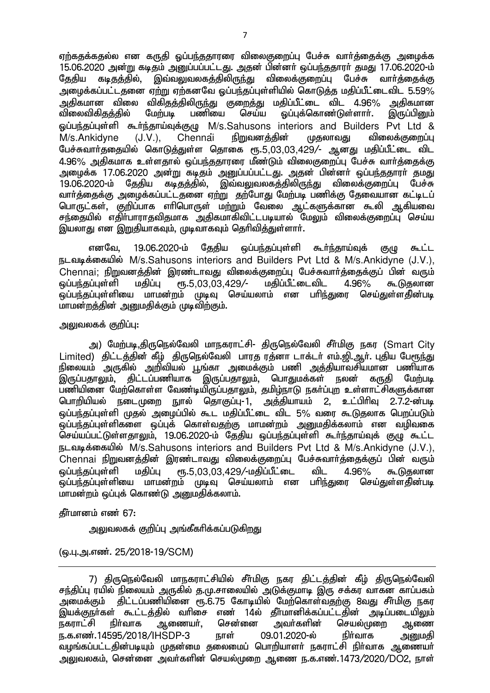ஏற்கதக்கதல்ல என கருதி ஒப்பந்ததாரரை விலைகுறைப்பு பேச்சு வார்த்தைக்கு அழைக்க 15.06.2020 அன்று கடிதம் அனுப்பப்பட்டது. அதன் பின்னா் ஒப்பந்ததாரா் தமது 17.06.2020-ம்<br>கேகிய கடிகுக்கில் இவ்வலுவலகக்கிலிருந்து விலைக்குறைப்ப பேச்சு வாா்க்கைக்கு ் இவ்வலுவலகத்திலிருந்து விலைக்குறைப்பு பேச்சு வார்த்தைக்கு அழைக்கப்பட்டதனை ஏற்று ஏற்கனவே ஒப்பந்தப்புள்ளியில் கொடுத்த மதிப்பீட்டைவிட 5.59% அதிகமான விலை விகிதத்திலிருந்து குறைத்து மதிப்பீட்டை விட 4.96% அதிகமான<br>விலைவிகிதத்தில் மேற்படி பணியை செய்ய ஒப்புக்கொண்டுள்ளாா். இருப்பினும் லப்புக்கொண்டுள்ளார். ஓப்பந்தப்புள்ளி கூர்ந்தாய்வுக்குழு M/s.Sahusons interiors and Builders Pvt Ltd &  $M/s$ .Ankidyne (J.V.), Chennai நிறுவனத்தின் முதலாவது விலைக்குறைப்பு பேச்சுவார்க்கையில் கொடுக்குள்ள கொகை ரூ.5,03,03,429/- அன்கு மகிப்பீட்டை விட  $4.96\%$  அதிகமாக உள்ளதால் ஒப்பந்ததாரரை மீண்டும் விலைகுறைப்பு பேச்சு வார்க்கைக்கு <u>அழைக்க 17.06.2020 அன்று கடிதம் அனுப்பப்பட்டது. அதன் பின்னர் ஒப்பந்ததாரர் தமது</u> 19.06.2020-ம் தேதிய கடிதத்தில், இவ்வலுவலகத்திலிருந்து விலைக்குறைப்பு பேச்சு வார்த்தைக்கு அழைக்கப்பட்டதனை ஏ<u>ற்று</u> தற்போது மேற்படி பணிக்கு தேவையான கட்டிடப் பொருட்கள், குறிப்பாக எரிபொருள் மற்றும் வேலை ஆட்களுக்கான கூலி ஆகியவை சந்தையில் எதிா்பாராதவிதமாக அதிகமாகிவிட்டபடியால் மேலும் விலைக்குறைப்பு செய்ய இயலாது என இறுதியாகவும், முடிவாகவும் தெரிவித்துள்ளார்.

எனவே, 19.06.2020-ம் தேதிய ஒப்பந்தப்புள்ளி கூர்ந்தாய்வுக் குமு கூட்ட நடவடிக்கையில் M/s.Sahusons interiors and Builders Pvt Ltd & M/s.Ankidyne (J.V.), Chennai; நிறுவனத்தின் இரண்டாவது விலைக்குறைப்பு பேச்சுவார்த்தைக்குப் பின் வரும்<br>ஒப்பந்தப்புள்ளி மதிப்பு ரூ.5.03.03.429/- மதிப்பீட்டைவிட 4.96% கூடுதலான  $\bar{\omega}$ ப்பந்தப்புள்ளி மதிப்பு ரூ.5,03,03,429/- மதிப்பீட்டைவிட 4.96% கூடுதலான ஒப்பந்தப்புள்ளியை மாமன்றம் முடிவு செய்யலாம் என பரி<u>ந்து</u>ரை செய்துள்ளதின்படி மாமன்றத்தின் அனுமதிக்கும் முடிவிற்கும்.

### அலுவலகக் குறிப்பு:

அ) மேற்படி,திருநெல்வேலி மாநகராட்சி- திருநெல்வேலி சீர்மிகு நகர (Smart City Limited) கிட்டத்தின் கீம் திருநெல்வேலி பாரத ரத்னா டாக்டர் எம்.<u>வி. ஆர். புதிய பேரூந்து</u> நிலையம் அருகில் அறிவியல் பூங்கா அமைக்கும் பணி அத்தியாவசியமான பணியாக<br>இருப்பதாலும், திட்டப்பணியாக இருப்பதாலும், பொதுமக்கள் நலன் கருதி மேற்படி ,<br>திட்டப்பணியாக இருப்பதாலும், பொதுமக்கள் நலன் கருதி மேற்படி பணியினை மேற்கொள்ள வேண்டியிருப்பதாலும், தமிழ்நாடு நகா்ப்புற உள்ளாட்சிகளுக்கான<br>பொரியியல் நடைமுறை நூல் கொகுப்ப-1. அக்கியாயம் 2. உட்பிரிவு 2.7.2-ன்படி nghwpapay; eilKiw Ehy; njhFg;G-1> mj;jpahak; 2> cl;gphpT 2.7.2-d;gb ் ஒப்பந்தப்பள்ளி முதல் அமைப்பில் கூட மகிப்பீட்டை விட 5% வரை கூடுகலாக பெறப்படும் .<br>ஒப்பந்தப்புள்ளிகளை ஒப்புக் கொள்வதற்கு மாமன்றம் அறுமதிக்கலாம் என வமிவகை செய்யப்பட்டுள்ளதாலும், 19.06.2020-ம் தேதிய ஒப்பந்தப்புள்ளி கூர்ந்தாய்வுக் குழு கூட்ட நடவடிக்கையில் M/s.Sahusons interiors and Builders Pvt Ltd & M/s.Ankidyne (J.V.), Chennai நிறுவனத்தின் இரண்டாவது விலைக்குறைப்பு பேச்சுவாா்த்தைக்குப் பின் வரும்<br>ஓப்பா்சுப்பள்ளி மகிப்பு ரூ.5.03.03.429/-மகிப்பீட்டை விட 4.96% கூடுகலான  $\tilde{\omega}$ ப்பந்தப்புள்ளி மதிப்பு ரூ.5,03,03,429/-மதிப்பீட்டை விட 4.96% கூடுதலான ஒப்பந்தப்புள்ளியை மாமன்றம் முடிவு செய்யலாம் என பரி<u>ந்து</u>ரை செய்துள்ளதின்படி மாமன்றம் ஒப்புக் கொண்டு அறுமதிக்கலாம்.

## கீர்மானம் எண் $67:$

<u>ு வலுவலகக் குறிப்ப அங்கீகரிக்கப்படுகிறது.</u>

## (ஒ.பு.அ.எண். 25/2018-19/SCM)

<sup>7)</sup> திருநெல்வேலி மாநகராட்சியில் சீர்மிகு நகர திட்டத்தின் கீழ் திருநெல்வேலி சந்திப்பு ரயில் நிலையம் அருகில் கு.மு.சாலையில் அடுக்குமாடி இரு சக்கர வாகன காப்பகம் அமைக்கும் திட்டப்பணியினை ரூ.6.75 கோடியில் மேற்கொள்வதற்கு 8வது சீா்மிகு நகர இயக்குநா்கள் கூட்டத்தில் வாிசை எண் 14ல் தீா்மானிக்கப்பட்டதின் அடிப்படையிலும்<br>நகராட்சி நிா்வாக ஆணையா், சென்னை அவா்களின் செயல்முறை ஆணை செயல்முறை ஆணை<br>நிர்வாக அமைகி ந.க.எண்.14595/2018/IHSDP-3 நாள் 09.01.2020-ல் நிர்வாக அறுமதி வழங்கப்பட்டதின்படியும் முதன்மை தலைமைப் பொறியாளர் நகராட்சி நிர்வாக ஆணையர் அலுவலகம், சென்னை அவர்களின் செயல்முறை ஆணை ந.க.எண்.1473/2020/DO2, நாள்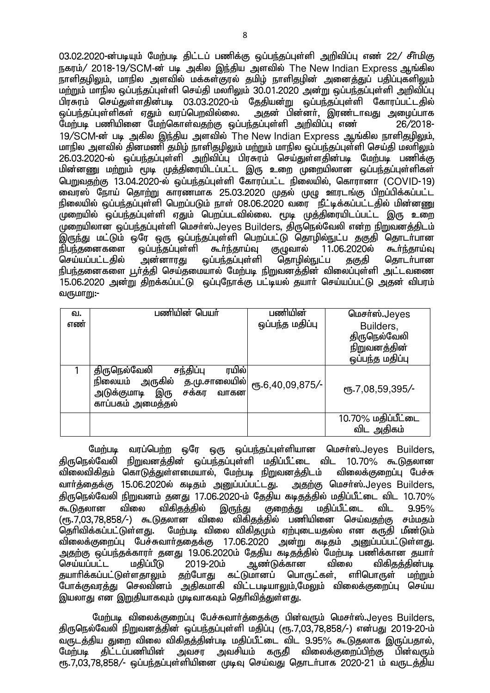03.02.2020-ன்படியும் மேற்படி திட்டப் பணிக்கு ஒப்பந்தப்புள்ளி அறிவிப்பு எண் 22/ சீர்மிகு நகரம்/ 2018-19/SCM-ன் படி அகில இந்திய அளவில் The New Indian Express ஆங்கில .<br>நாளிதழிலும், மாநில அளவில் மக்கள்குரல் தமிழ் நாளிதழின் அனைத்துப் பதிப்புகளிலும் மற்றும் மாநில ஒப்பந்தப்புள்ளி செய்தி மலாிலும் 30.01.2020 அன்று ஒப்பந்தப்புள்ளி அறிவிப்பு பிரசுரம் செய்துள்ளதின்படி 03.03.2020-ம் தேதியன்று ஒப்பந்தப்புள்ளி கோரப்பட்டதில்<br>ஒப்பந்தப்புள்ளிகள் ஏதும் வரப்பெறவில்லை. அதன் பின்னா். இரண்டாவது அமைப்பாக அதன் பின்னர், இரண்டாவது அமைப்பாக மேற்படி பணியினை மேற்கொள்வதற்கு ஒப்பந்தப்புள்ளி அறிவிப்பு எண 26/2018- $19/\mathrm{SCM}$ -ன் படி அகில இந்திய அளவில் The New Indian Express அங்கில நாளிகமிலம். <u>மாநில அளவில் தினமணி தமிழ் நாளிதழிலும் மற்றும் மாநில ஒப்பந்தப்புள்ளி செய்தி மலாிலும்</u> 26.03.2020-ல் ஒப்பந்தப்புள்ளி அறிவிப்பு பிரசுரம் செய்துள்ளதின்படி மேற்படி பணிக்கு மின்னணு மற்றும் மூடி முத்திரையிடப்பட்ட இரு உறை முறையிலான ஒப்பந்தப்புள்ளிகள் பெறுவதற்கு 13.04.2020-ல் ஒப்பந்தப்புள்ளி கோரப்பட்ட நிலையில், கொரானா (COVID-19) <u>னை</u>ரஸ் நோய் தொ<u>ற்று</u> காரணமாக 25.03.2020 முதல் முழு ஊரடங்கு பிறப்பிக்கப்பட்ட நிலையில் ஒப்பந்தப்புள்ளி பெறப்படும் நாள் 08.06.2020 வரை நீட்டிக்கப்பட்டதில் மின்னணு .<br>முறையில் ஒப்பந்தப்புள்ளி ஏதும் பெறப்படவில்லை. மூடி முத்திரையிடப்பட்ட இரு உறை  $\alpha$ முறையிலான ஒப்பந்தப்புள்ளி மெசர்ஸ்.Jeyes Builders, திருநெல்வேலி என்ற நிறுவனத்திடம் இருந்து மட்டும் ஒரே ஒரு ஒப்பந்தப்புள்ளி பெறப்பட்டு தொழில்நுட்ப தகுதி தொடா்பான<br>நிபந்தனைகளை வப்பந்தப்பள்ளி கூா்ந்தாய்வ குமுவால் 11.06.2020ல் கூா்ந்தாய்வு நிபந்தனைகளை ஒப்பந்தப்புள்ளி கூர்ந்தாய்வு குழுவால் 11.06.2020ல் கூர்ந்தாய்வு<br>செய்யப்பட்டதில் அன்னாரது ஒப்பந்தப்புள்ளி தொழில்நுட்ப தகுதி தொடர்பான <u>டிப்பந்த</u>ப்புள்ளி நிபந்தனைகளை பூர்த்தி செய்தமையால் மேற்படி நிறுவனத்தின் விலைப்புள்ளி அட்டவணை 15.06.2020 அன்று திறக்கப்பட்டு ஒப்புநோக்கு பட்டியல் தயார் செய்யப்பட்டு அதன் விபரம் வருமா $m$ :-

| வ.<br>எண் | பணியின் பெயர்                                                                                                                    | பணியின்<br>ஒப்பந்த மதிப்பு | மெசர்ஸ்.Jeyes<br>Builders,<br>திருநெல்வேலி<br>நிறுவனத்தின் |
|-----------|----------------------------------------------------------------------------------------------------------------------------------|----------------------------|------------------------------------------------------------|
|           | ரயில்<br>திருநெல்வேலி<br>சந்திப்பு<br>நிலையம் அருகில் த.மு.சாலையில் <br>இரு<br>அடுக்குமாடி<br>சக்கர<br>வாகன<br>காப்பகம் அமைத்தல் | ரு.6,40,09,875/-           | ஒப்பந்த மதிப்பு<br>$\mu$ Б.7,08,59,395/-                   |
|           |                                                                                                                                  |                            | 10.70% மதிப்பீட்டை<br>விட அதிகம்                           |

மேற்படி வரப்பெற்ற ஒரே ஒரு ஒப்பந்தப்புள்ளியான மெசர்ஸ்.Jeves Builders, திருநெல்வேலி நிறுவனத்தின் ஒப்பந்தப்புள்ளி மதிப்பீட்டை விட 10.70% கூடுதலான<br>விலைவிகிதம் கொடுத்துள்ளமையால், மேற்படி நிறுவனத்திடம் விலைக்குறைப்பு பேச்சு <u>விலைவிகித</u>ம் கொடுத்துள்ளமையால், மேற்படி நிறுவனத்திடம் வார்க்கைக்கு 15.06.2020ல் கடிதம் அனுப்பப்பட்டது. அதற்கு மெசர்ஸ்.Jeyes Builders, திருநெல்வேலி நிறுவனம் தனது 17.06.2020-ம் தேதிய கடிதத்தில் மதிப்பீட்டை விட 10.70%<br>கூடுதலான விலை விகிதத்தில் இருந்து குறைக்கு மகிப்பீட்டை விட 9.95% கூடுதலான விலை விகிதத்தில் இருந்து குறைத்து மதிப்பீட்டை விட 9.95% (ரூ.7,03,78,858/-) கூடுதலான விலை விகிதத்தில் பணியினை செய்வதற்கு சம்மதம் தெரிவிக்கப்பட்டுள்ளது. மேற்படி விலை விகிதமும் ஏற்புடையதல்ல என கருதி மீண்டும் விலைக்குறைப்பு பேச்சுவார்ததைக்கு 17.06.2020 அன்று கடிதம் அனுப்பப்பட்டுள்ளது. mjw;F xg;ge;jf;fhuh; jdJ 19.06.2020k; Njjpa fbjj;jpy; Nkw;gb gzpf;fhd jahh; ஆண்டுக்கான விலை விகித,<br>)மானப் பொருட்கள், எாிபொருள் தயாரிக்கப்பட்டுள்ளதாலும் தற்போது கட்டுமானப் பொருட்கள், எரிபொருள் மற்றும் .<br>போக்குவரக்து செலவினம் அதிகமாகி விட்டபடியாலும்,மேலும் விலைக்குறைப்பு செய்ய இயலாது என இறுதியாகவும் முடிவாகவும் தெரிவித்துள்ள<u>த</u>ு.

மேற்படி விலைக்குறைப்பு பேச்சுவார்த்தைக்கு பின்வரும் மெசர்ஸ்.Jeyes Builders, திருநெல்வேலி நிறுவனத்தின் ஒப்பந்தப்புள்ளி மதிப்பு (ரூ.7,03,78,858/-) என்பது 2019-20-ம் வருடத்திய துறை விலை விகிதத்தின்படி மதிப்பீட்டை விட 9.95% கூடுதலாக இருப்பதால்,<br>மேற்படி திட்டப்பணியின் அவசர அவசியம் கருதி விலைக்குறைப்பிற்கு பின்வரும் ்<u>அ</u>வசியம் கருதி விலைக்குறைப்பிற்கு பின்வரும் rந.7.03.78.858/- ஓப்பந்தப்பள்ளியினை முடிவ செய்வது கொடர்பாக 2020-21 ம் வரூடக்கிய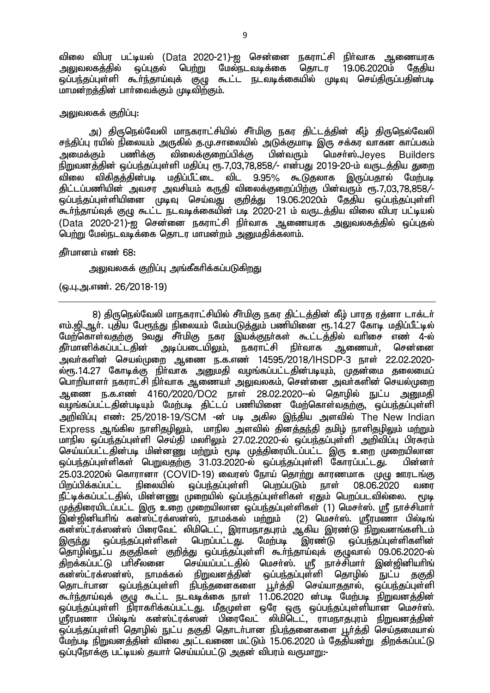விலை விபர பட்டியல் (Data 2020-21)-ஐ சென்னை நகராட்சி நிர்வாக ஆணையரக<br>அலுவலகக்கில் ஒப்புகல் பெற்று மேல்நடவடிக்கை கொடர 19.06.2020ம் தேகிய பெற்று மேல்நடவடிக்கை <u>ஒப்பந்த</u>ப்புள்ளி கூர்ந்தாய்வுக் குழு கூட்ட நடவடிக்கையில் முடிவு செய்திருப்பதின்படி மாமன்றத்தின் பாா்வைக்கும் முடிவிற்கும்.

#### அலுவலகக் குறிப்பு:

அ) திருநெல்வேலி மாநகராட்சியில் சீா்மிகு நகர திட்டத்தின் கீழ் திருநெல்வேலி சந்திப்பு ரயில் நிலையம் அருகில் த.மு.சாலையில் அடுக்குமாடி இரு சக்கர வாகன காப்பகம் அமைக்கும் பணிக்கு விலைக்குறைப்பிக்கு பின்வரும் மெசர்ஸ்.Jeves Builders நிறுவனத்தின் ஒப்பந்தப்புள்ளி மதிப்பு ரூ.7,03,78,858⁄– என்பது 2019-20-ம் வருடத்திய துறை<br>விலை விகிதத்தின்படி மதிப்பீட்டை விட 9.95% கூடுகலாக இருப்பகால் மேற்படி .<br>விலை விகிசுக்கின்படி மகிப்பீட்டை விட 9.95% கூடுதலாக இருப்பதால் திட்டப்பணியின் அவசர அவசியம் கருதி விலைக்குறைப்பிற்கு பின்வரும் ரூ.7,03,78,858/-ஒப்பந்தப்புள்ளியினை முடிவு செய்வது குறித்து 19.06.2020ம் தேதிய ஒப்பந்தப்புள்ளி கூர்ந்தாய்வுக் குழு கூட்ட நடவடிக்கையின் படி 2020-21 ம் வருடத்திய விலை விபர பட்டியல் (Data 2020-21)-ஐ சென்னை நகராட்சி நிர்வாக ஆணையரக <u>அலு</u>வலகத்தில் ஒப்புதல் பெற்று மேல்நடவடிக்கை கொடர மாமன்றம் அறுமகிக்கலாம்.

### தீர்மானம் எண் 68:

அலுவலகக் குறிப்பு அங்கீகரிக்கப்படுக<u>ிறத</u>ு

(ஒ.பு.அ.எண். 26/2018-19)

8) திருநெல்வேலி மாநகராட்சியில் சீர்மிகு நகர திட்டத்தின் கீழ் பாரத ரத்னா டாக்டர் எம்.ஜி.ஆர். புதிய பேரூந்து நிலையம் மேம்படுத்தும் பணியினை ரூ.14.27 கோடி மதிப்பீட்டில் மேற்கொள்வதற்கு 9வது சீா்மிகு நகர இயக்குநா்கள் கூட்டத்தில் வாிசை எண் 4-ல்<br>தீா்மானிக்கப்பட்டதின் அடிப்படையிலும், நகராட்சி நிா்வாக ஆணையா், சென்னை கீர்மானிக்கப்பட்டகின் அவர்களின் செயல்முறை ஆணை ந.க.எண் 14595/2018/IHSDP-3 நாள் 22.02.2020-ல்ரூ.14.27 கோடிக்கு நிர்வாக அனுமதி வழங்கப்பட்டதின்படியும், முதன்மை தலைமைப் பொறியாளா் நகராட்சி நிா்வாக ஆணையா் அலுவலகம், சென்னை அவா்களின் செயல்முறை ஆணை ந.க.எண் 4160/2020/DO2 நாள் 28.02.2020--ல் தொழில் நுட்ப <u>அனு</u>மதி வழங்கப்பட்டதின்படியும் மேற்படி திட்டப் பணியினை மேற்கொள்வதற்கு, ஒப்பந்தப்புள்ளி அறிவிப்பு எண்: 25/2018-19/SCM -ன் படி அகில இந்திய அளவில் The New Indian  $\mathsf E$ xpress ஆங்கில நாளிதழிலும், மாநில அளவில் கினக்குந்தி தமிழ் நாளிதழிலும் மற்றும் மாநில ஒப்பந்தப்பள்ளி செய்தி மலாிலும் 27.02.2020-ல் ஒப்பந்தப்புள்ளி அறிவிப்பு பிரசுரம் செய்யப்பட்டதின்படி மின்னணு மற்றும் மூடி முத்திரையிடப்பட்ட இரு உறை முறையிலான <u>ஓப்பந்த</u>ப்புள்ளிகள் பெறுவதற்கு 31.03.2020-ல் ஒப்பந்தப்புள்ளி கோரப்பட்டது. பின்னர் .<br>25.03.2020ல் கொரானா (COVID-19) வைரஸ் நோய் தொற்று காரணமாக முழு ஊரடங்கு<br>பிறப்பிக்கப்பட்ட நிலையில் வப்பந்தப்பள்ளி பெறப்படும் நாள் 08.06.2020 வரை ் ஒப்பந்தப்பள்ளி பெmப்படும் நாள் 08.06.2020 வரை நீட்டிக்கப்பட்டதில், மின்னணு முறையில் ஒப்பந்தப்புள்ளிகள் ஏதும் பெறப்படவில்லை. மூடி முத்திரையிடப்பட்ட இரு உறை முறையிலான ஒப்பந்தப்புள்ளிகள் (1) மெசா்ஸ். ஸ்ரீ நாச்சிமாா் .<br>இன்ஜினியரிங் கன்ஸ்ட்ரக்ஸன்ஸ், நாமக்கல் மற்றும் (2) மெசா்ஸ். ஸ்ரீரமணா பில்டிங் கன்ஸ்ட்ரக்ஸன்ஸ் பிரைவேட் லிமிடெட், இராமநாதபுரம் ஆகிய இரண்டு நிறுவனங்களிடம் இருந்து ஒப்பந்தப்புள்ளிகள் பெறப்பட்டது. மேற்படி இரண்டு ஒப்பந்தப்புள்ளிகளின் தொழில்நுட்ப தகுதிகள் குறித்து ஒப்பந்தப்புள்ளி கூா்ந்தாய்வுக் குழுவால் 09.06.2020-ல்<br>கிாக்கப்பட்டு பாிசீலனை செய்யப்பட்டகில் மெசா்ஸ். மாீ நாச்சிமாா் இன்றினியாிங் jpwf;fg;gl;L ghprPyid nra;ag;gl;ljpy; nkrh;];. = ehr;rpkhh; ,d;[pdpahpq; நாமக்கல் நிறுவனத்தின் ஒப்பந்தப்புள்ளி தொழில் நுட்ப தகுதி தொடர்பான ஒப்பந்தப்புள்ளி நிபந்தனைகளை பூர்த்தி செய்யாததால், ஒப்பந்தப்புள்ளி குள்டாப்பை குட்டத்தப்புடை தடத்துள்ளனர்.<br>கூர்ந்தாய்வுக் குழு கூட்ட நடவடிக்கை நாள் 11.06.2020 ன்படி மேற்படி நிறுவனத்தின் ஒப்பந்தப்புள்ளி நிராகாிக்கப்பட்டது. மீதமுள்ள ஒரே ஒரு ஒப்பந்தப்புள்ளியான மெசா்ஸ். ஸ்ரீரமணா பில்டிங் கன்ஸ்ட்ரக்ஸன் பிரைவேட் லிமிடெட், ராமநாதபுரம் நிறுவனத்தின் <u>ஒப்பந்த</u>ப்புள்ளி தொழில் நுட்ப தகுதி தொடர்பான நிபந்தனைகளை பூர்த்தி செய்தமையால் மேற்படி நிறுவனத்தின் விலை அட்டவணை மட்டும் 15.06.2020 ம் தேதியன்று திறக்கப்பட்டு ஒப்புநோக்கு பட்டியல் தயாா் செய்யப்பட்டு அதன் விபரம் வருமாறு:-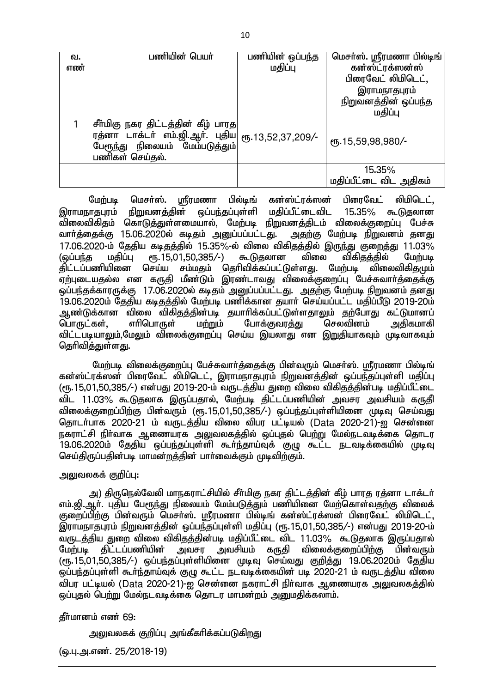| வ. | பணியின் பெயர்                                      | பணியின் ஒப்பந்த | மெசா்ஸ். ஸ்ரீரமணா பில்டிங் |
|----|----------------------------------------------------|-----------------|----------------------------|
| எண |                                                    | மதிப்பு         | கன்ஸ்ட்ரக்ஸன்ஸ்            |
|    |                                                    |                 | பிரைவேட் லிமிடெட்,         |
|    |                                                    |                 | இராமநாதபுரம்               |
|    |                                                    |                 | நிறுவனத்தின் ஒப்பந்த       |
|    |                                                    |                 | மதிப்பு                    |
|    | சீா்மிகு நகர திட்டத்தின் கீழ் பாரத                 |                 |                            |
|    | ரத்னா டாக்டா் எம்.ஜி.ஆா். புதிய  ரூ.13,52,37,209/- |                 | ரு.15,59,98,980/-          |
|    | பேரூந்து நிலையம் மேம்படுத்தும்                     |                 |                            |
|    | பணிகள் செய்தல்.                                    |                 |                            |
|    |                                                    |                 | 15.35%                     |
|    |                                                    |                 | மதிப்பீட்டை விட அதிகம்     |

மேற்படி மெசர்ஸ். ஸ்ரீரமணா பில்டிங் கன்ஸ்ட்ரக்ஸன் பிரைவேட் லிமிடெட், இராமநாதபுரம் நிறுவனத்தின் ஒப்பந்தப்புள்ளி மதிப்பீட்டைவிட 15.35% கூடுதலான ்விலைவிகிதம் கொடுத்துள்ளமையால், மேற்படி நிறுவனத்திடம் விலைக்குறைப்பு பேச்சு வார்த்தைக்கு 15.06.2020ல் கடிதம் அனுப்பப்பட்டது. அதற்கு மேற்படி நிறுவனம் தனது 17.06.2020-ம் தேதிய கடிதத்தில் 15.35%-ல் விலை விகிதத்தில் இருந்து குறைத்து 11.03%<br>(ஒப்பந்த மதிப்பு ரூ.15,01,50,385/-) கூடுதலான விலை விகிதத்தில் மேற்படி (ஒப்பந்த மதிப்பு ரூ.15.01.50.385/-) கூடுுதலான விலை விகிதத்தில் மேற்படி ்திட்டப்பணியினை செய்ய சம்மதம் தெரிவிக்கப்பட்டுள்ளது. மேற்படி விலைவிகிதமும் ஏற்புடையதல்ல என கருதி மீண்டும் இரண்டாவது விலைக்குறைப்பு பேச்சுவார்த்தைக்கு ஒப்பந்தக்காரருக்கு 17.06.2020ல் கடிதம் அனுப்பப்பட்டது. அதற்கு மேற்படி நிறுவனம் தனது 19.06.2020ம் தேதிய கடிதத்தில் மேற்படி பணிக்கான தயார் செய்யப்பட்ட மதிப்பீடு 2019-20ம் ஆண்டுக்கான விலை விகிதத்தின்படி தயாரிக்கப்பட்டுள்ளதாலும் தற்போது கட்டுமானப் டொருட்கள், எாிபொருள் மற்றும் போக்குவரத்து செலவினம் அதிகமாகி விட்டபடியாலும்,மேலும் விலைக்குறைப்பு செய்ய இயலாது என இறுதியாகவும் முடிவாகவும் தெரிவித்துள்ளது.

மேற்படி விலைக்குறைப்பு பேச்சுவார்த்தைக்கு பின்வரும் மெசர்ஸ். ஸ்ரீரமணா பில்டிங் ்கன்ஸ்ட்ரக்ஸன் பிரைவேட் லிமிடெட், இராமநாதபுரம் நிறுவனத்தின் ஒப்பந்தப்புள்ளி மதிப்பு (ரூ.15,01,50,385/-) என்பது 2019-20-ம் வருடத்திய துறை விலை விகிதத்தின்படி மதிப்பீட்டை விட 11.03% கூடுதலாக இருப்பதால், மேற்படி திட்டப்பணியின் அவசர அவசியம் கருதி விலைக்குறைப்பிற்கு பின்வரும் (ரூ.15,01,50,385/-) ஒப்பந்தப்புள்ளியினை முடிவு செய்வது தொடர்பாக 2020-21 ம் வருடக்கிய விலை விபர பட்டியல் (Data 2020-21)-ஐ சென்னை நகராட்சி நிர்வாக ஆணையரக <u>அலுவலகத்த</u>ில் ஒப்புதல் பெற்று மேல்நடவடிக்கை தொடர 19.06.2020ம் தேதிய ஒப்பந்தப்புள்ளி கூர்ந்தாய்வுக் குழு கூட்ட நடவடிக்கையில் முடிவு செய்திருப்பதின்படி மாமன்றத்தின் பார்வைக்கும் முடிவிற்கும்.

#### அலுவலகக் குறிப்பு:

அ) திருநெல்வேலி மாநகராட்சியில் சீர்மிகு நகர திட்டத்தின் கீழ் பாரத ரத்னா டாக்டர் எம்.ஜி.ஆர். புதிய பேரூந்து நிலையம் மேம்படுத்தும் பணியினை மேற்கொள்வதற்கு விலைக் குறைப்பிற்கு பின்வரும் மெசா்ஸ். ஸ்ரீரமணா பில்டிங் கன்ஸ்ட்ரக்ஸன் பிரைவேட் லிமிடெட், இராமநாதபுரம் நிறுவனத்தின் ஒப்பந்தப்புள்ளி மதிப்பு (ரூ.15,01,50,385/-) என்பது 2019-20-ம் .<br>வருடத்திய துறை விலை விகித்த்தின்படி மதிப்பீட்டை விட 11.03% கூடுதலாக இருப்பதால்<br>மேற்படி திட்டப்பணியின் அவசர அவசியம் கருதி விலைக்குறைப்பிற்கு பின்வரும் மேற்படி திட்டப்பணியின் அவசர அவசியம் கருதி விலைக்குறைப்பிற்கு பின்வரும் (ரூ.15,01,50,385/-) ஒப்பந்தப்புள்ளியினை முடிவு செய்வது குறித்து 19.06.2020ம் தேதிய <u>ஒப்பந்த</u>ப்புள்ளி கூர்ந்தாய்வுக் குழு கூட்ட நடவடிக்கையின் படி 2020-21 ம் வருடத்திய விலை விபர பட்டியல் (Data 2020-21)-ഇ சென்னை நகராட்சி நிர்வாக ஆணையாக அலுவலகக்கில் <u>ஒப்புத</u>ல் பெற்று மேல்நடவடிக்கை தொடர மாமன்றம் அனுமதிக்கலாம்.

#### கீர்மானம் எண் 69:

அலுவலகக் குறிப்பு அங்கீகாிக்கப்படுகிறது

(ஒ.பு.அ.எண். 25/2018-19)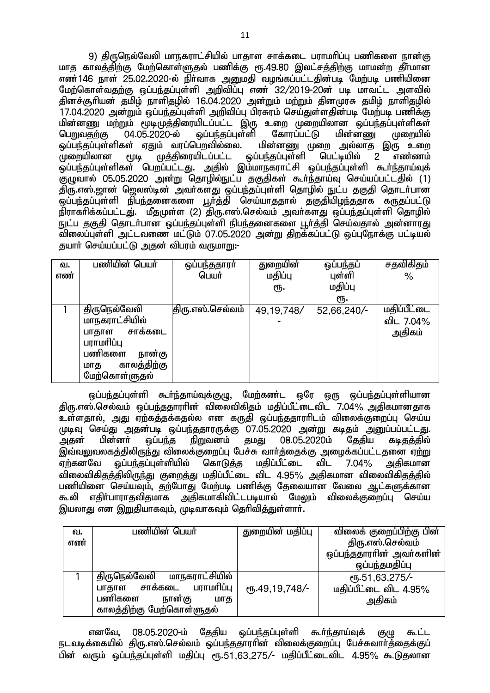9) திருநெல்வேலி மாநகராட்சியில் பாதாள சாக்கடை பராமரிப்பு பணிகளை நான்கு மாத காலத்திற்கு மேற்கொள்ளுதல் பணிக்கு ரூ.49.80 இலட்சத்திற்கு மாமன்ற தீர்மான எண்146 நாள் 25.02.2020-ல் நிர்வாக அனுமதி வழங்கப்பட்டதின்படி மேற்படி பணியினை மேற்கொள்வகற்கு ஒப்பந்கப்பள்ளி அறிவிப்ப எண 32/2019-20ன் பட மாவட்ட அளவில் தினச்சூரியன் தமிம் நாளிதமில் 16.04.2020 அன்றும் மற்றும் தினமுரசு தமிம் நாளிதமில் 17.04.2020 அன்றும் ஒப்பந்தப்புள்ளி அறிவிப்பு பிரசுரம் செய்துள்ளதின்படி மேற்படி பணிக்கு ்மின்னணு மற்றும் மூடிமுத்திரையிடப்பட்ட இரு உறை முறையிலான ஒப்பந்தப்புள்ளிகள்<br>பெறுவகற்கு 04.05.2020-ல் வப்பந்கப்பள்ளி கோாப்பட்டு மின்னணு முறையில் பெறுவதற்கு 04.05.2020-ல் ஒப்பந்தப்புள்ளி<br>ஒப்பந்தப்புள்ளிகள் ஏதும் வரப்பெறவில்லை. ரம் வரப்பெறவில்லை. மின்னணு முறை அல்லாத இரு உறை<br>முத்திரையிடப்பட்ட ஒப்பந்தப்புள்ளி பெட்டியில் 2 எண்ணம்  $\mu$ றையிலான மூடி முத்திரையிடப்பட்ட ஒப்பந்தப்புள்ளி பெட்டியில் 2 எண்ணம் ஒப்பந்தப்புள்ளிகள் பெறப்பட்டது. அதில் இம்மாநகராட்சி ஒப்பந்தப்புள்ளி கூர்ந்தாய்வுக் குழுவால் 05.05.2020 அன்று தொழில்நுட்ப தகுதிகள் கூர்ந்தாய்வு செய்யப்பட்டதில் (1) திரு.எஸ்.ஜான் ஜெலஸ்டின் அவா்களது ஒப்பந்தப்புள்ளி தொழில் நுட்ப தகுதி தொடா்பான ஒப்பந்தப்புள்ளி நிபந்தனைகளை பூர்த்தி செய்யாததால் தகுதியிழந்ததாக கருதப்பட்டு நிராகரிக்கப்பட்டது். மீதமுள்ள (2) திரு.எஸ்.செல்வம் அவர்களது ஒப்பந்தப்புள்ளி தொழில் ் நுட்ப தகுதி தொடர்பான ஒப்பந்தப்புள்ளி நிபந்தனைகளை பூர்த்தி செய்வதால் அன்னாரது விலைப்புள்ளி அட்டவணை மட்டும் 07.05.2020 அன்று திறக்கப்பட்டு ஒப்புநோக்கு பட்டியல் தயாா் செய்யப்பட்டு அதன் விபரம் வருமாறு:-

| வ.<br>எண் | பணியின் பெயர்                                                                                               | ஒப்பந்ததாரா்<br>பெயர் | துறையின்<br>மதிப்பு<br>ரூ. | ஒப்பந்தப்<br>புள்ளி<br>மதிப்பு | சதவிகிதம்<br>$\%$   |
|-----------|-------------------------------------------------------------------------------------------------------------|-----------------------|----------------------------|--------------------------------|---------------------|
|           | திருநெல்வேலி                                                                                                | திரு.எஸ்.செல்வம்      | 49, 19, 748/               | €Ҧ.<br>52,66,240/-             | <u>மதிப்பீட்டை</u>  |
|           | மாநகராட்சியில்<br>சாக்கடை<br>பாதாள<br>பராமரிப்பு<br>பணிகளை<br>நான்கு<br>காலத்திற்கு<br>மாத<br>மேற்கொள்ளுதல் |                       |                            |                                | வி∟ 7.04%<br>அதிகம் |

ஒப்பந்தப்புள்ளி கூர்ந்தாய்வுக்குழு, மேற்கண்ட ஒரே ஒரு ஒப்பந்தப்புள்ளியான திரு.எஸ்.செல்வம் ஒப்பந்ததாராின் விலைவிகிதம் மதிப்பீட்டைவிட 7.04% அதிகமானதாக உள்ளதால், அது ஏற்கத்தக்கதல்ல என கருதி ஒப்பந்ததாரரிடம் விலைக்குறைப்பு செய்ய முடிவு செய்து அதன்படி ஒப்பந்ததாரருக்கு 07.05.2020 அன்று கடிதம் அனுப்பப்பட்டது.<br>அதன் பின்னா் ஒப்பந்த நிறுவனம் தமது 08.05.2020ம் தேதிய கடிதத்தில் 08.05.2020ம் இவ்வலுவலகத்திலிருந்து விலைக்குறைப்பு பேச்சு வார்த்தைக்கு அழைக்கப்பட்டதனை ஏற்று ஏற்கனவே ஒப்பந்தப்புள்ளியில் கொடுத்த மதிப்பீட்டை விட 7.04% அதிகமான விலைவிகிதத்திலிருந்து குறைத்து மதிப்பீட்டை விட 4.95% அதிகமான விலைவிகிதத்தில் பணியினை செய்யவும், தற்போது மேற்படி பணிக்கு தேவையான வேலை ஆட்களுக்கான கூலி எதிா்பாராதவிதமாக அதிகமாகிவிட்டபடியால் மேலும் விலைக்குறைப்பு செய்ய இயலாது என இறுதியாகவும், முடிவாகவும் தெரிவித்துள்ளார்.

| வ.  | பணியின் பெயா்                  | துறையின் மதிப்பு | விலைக் குறைப்பிற்கு பின் |
|-----|--------------------------------|------------------|--------------------------|
| எண் |                                |                  | திரு.எஸ்.செல்வம்         |
|     |                                |                  | ஒப்பந்ததாராின் அவா்களின் |
|     |                                |                  | ஒப்பந்தமதிப்பு           |
|     | மாநகராட்சியில்<br>திருநெல்வேலி |                  | $\mu$ 51,63,275/-        |
|     | பாதாள சாக்கடை பராமரிப்பு       | ரு.49,19,748/-   | மதிப்பீட்டை விட 4.95%    |
|     | பணிகளை<br>நான்கு<br>மாத        |                  | அதிகம்                   |
|     | காலத்திற்கு மேற்கொள்ளுதல்      |                  |                          |

எனவே, 08.05.2020-ம் தேதிய ஒப்பந்தப்புள்ளி கூர்ந்தாய்வுக் குழு கூட்ட நடவடிக்கையில் திரு.எஸ்.செல்வம் ஒப்பந்ததாராின் விலைக்குறைப்பு பேச்சுவாா்த்தைக்குப் பின் வரும் ஒப்பந்தப்புள்ளி மதிப்பு ரூ.51,63,275/- மதிப்பீட்டைவிட 4.95% கூடுதலான